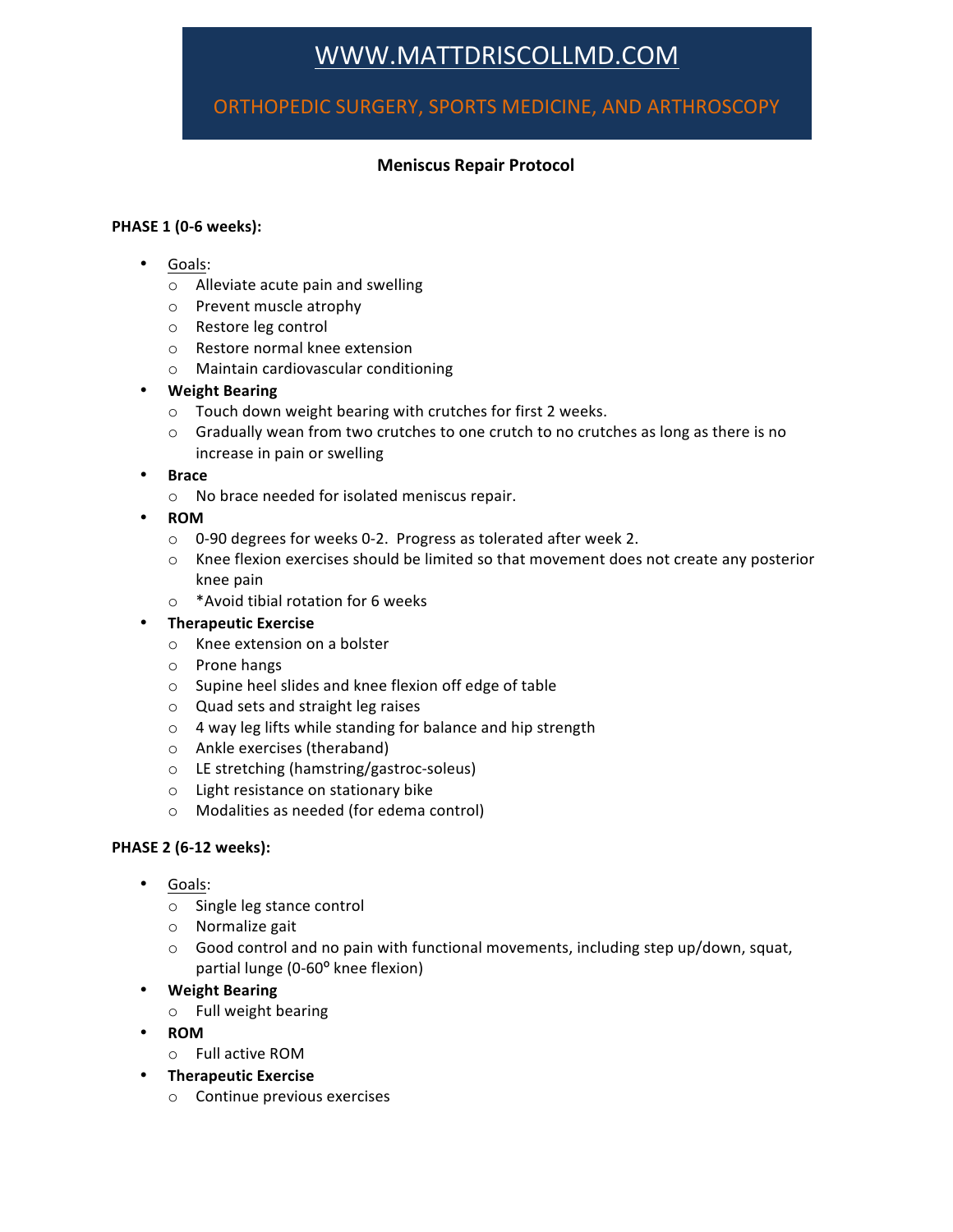# WWW.MATTDRISCOLLMD.COM

## ORTHOPEDIC SURGERY, SPORTS MEDICINE, AND ARTHROSCOPY

### **Meniscus Repair Protocol**

#### **PHASE 1 (0-6 weeks):**

- Goals:
	- $\circ$  Alleviate acute pain and swelling
	- o Prevent muscle atrophy
	- o Restore leg control
	- $\circ$  Restore normal knee extension
	- $\circ$  Maintain cardiovascular conditioning
- **Weight Bearing**
	- $\circ$  Touch down weight bearing with crutches for first 2 weeks.
	- $\circ$  Gradually wean from two crutches to one crutch to no crutches as long as there is no increase in pain or swelling
- **Brace**
	- o No brace needed for isolated meniscus repair.
- **ROM**
	- $\circ$  0-90 degrees for weeks 0-2. Progress as tolerated after week 2.
	- $\circ$  Knee flexion exercises should be limited so that movement does not create any posterior knee pain
	- $\circ$  \*Avoid tibial rotation for 6 weeks
- **Therapeutic Exercise**
	- o Knee extension on a bolster
	- o Prone hangs
	- o Supine heel slides and knee flexion off edge of table
	- $\circ$  Quad sets and straight leg raises
	- $\circ$  4 way leg lifts while standing for balance and hip strength
	- o Ankle exercises (theraband)
	- o LE stretching (hamstring/gastroc-soleus)
	- o Light resistance on stationary bike
	- o Modalities as needed (for edema control)

#### **PHASE 2 (6-12 weeks):**

- Goals:
	- o Single leg stance control
	- $\circ$  Normalize gait
	- $\circ$  Good control and no pain with functional movements, including step up/down, squat, partial lunge (0-60° knee flexion)
- **Weight Bearing**
	- o Full weight bearing
- **ROM**
	- o Full active ROM
- **Therapeutic Exercise**
	- $\circ$  Continue previous exercises